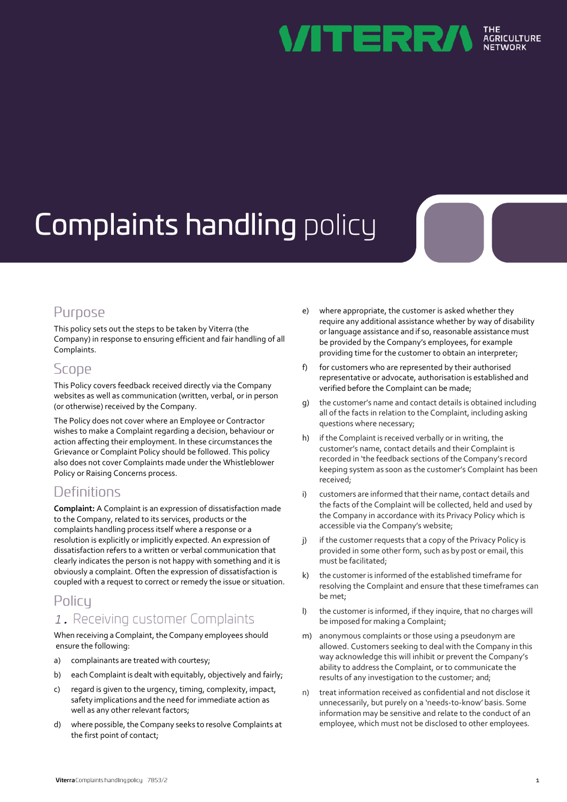

# **Complaints handling policy**

## Purpose

This policy sets out the steps to be taken by Viterra (the Company) in response to ensuring efficient and fair handling of all Complaints.

#### Scope

This Policy covers feedback received directly via the Company websites as well as communication (written, verbal, or in person (or otherwise) received by the Company.

The Policy does not cover where an Employee or Contractor wishes to make a Complaint regarding a decision, behaviour or action affecting their employment. In these circumstances the Grievance or Complaint Policy should be followed. This policy also does not cover Complaints made under the Whistleblower Policy or Raising Concerns process.

## Definitions

**Complaint:** A Complaint is an expression of dissatisfaction made to the Company, related to its services, products or the complaints handling process itself where a response or a resolution is explicitly or implicitly expected. An expression of dissatisfaction refers to a written or verbal communication that clearly indicates the person is not happy with something and it is obviously a complaint. Often the expression of dissatisfaction is coupled with a request to correct or remedy the issue or situation.

## Policy

### *1.*

When receiving a Complaint, the Company employees should ensure the following:

- a) complainants are treated with courtesy;
- b) each Complaint is dealt with equitably, objectively and fairly;
- c) regard is given to the urgency, timing, complexity, impact, safety implications and the need for immediate action as well as any other relevant factors;
- d) where possible, the Company seeks to resolve Complaints at the first point of contact;
- e) where appropriate, the customer is asked whether they require any additional assistance whether by way of disability or language assistance and if so, reasonable assistance must be provided by the Company's employees, for example providing time for the customer to obtain an interpreter;
- f) for customers who are represented by their authorised representative or advocate, authorisation is established and verified before the Complaint can be made;
- g) the customer's name and contact details is obtained including all of the facts in relation to the Complaint, including asking questions where necessary;
- h) if the Complaint is received verbally or in writing, the customer's name, contact details and their Complaint is recorded in 'the feedback sections of the Company's record keeping system as soon as the customer's Complaint has been received;
- i) customers are informed that their name, contact details and the facts of the Complaint will be collected, held and used by the Company in accordance with its Privacy Policy which is accessible via the Company's website;
- j) if the customer requests that a copy of the Privacy Policy is provided in some other form, such as by post or email, this must be facilitated;
- k) the customeris informed of the established timeframe for resolving the Complaint and ensure that these timeframes can be met;
- l) the customer is informed, if they inquire, that no charges will be imposed for making a Complaint;
- m) anonymous complaints or those using a pseudonym are allowed. Customers seeking to deal with the Company in this way acknowledge this will inhibit or prevent the Company's ability to address the Complaint, or to communicate the results of any investigation to the customer; and;
- treat information received as confidential and not disclose it unnecessarily, but purely on a 'needs-to-know' basis. Some information may be sensitive and relate to the conduct of an employee, which must not be disclosed to other employees.